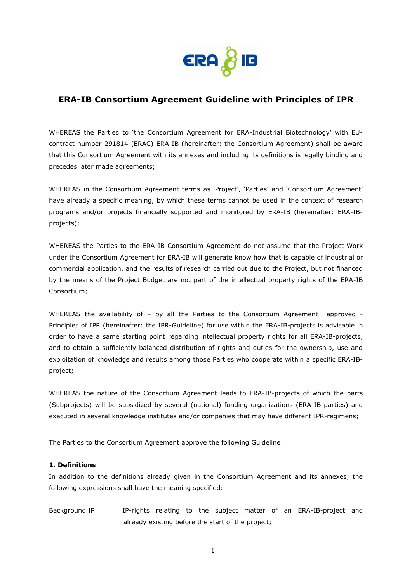

# **ERA-IB Consortium Agreement Guideline with Principles of IPR**

WHEREAS the Parties to 'the Consortium Agreement for ERA-Industrial Biotechnology' with EUcontract number 291814 (ERAC) ERA-IB (hereinafter: the Consortium Agreement) shall be aware that this Consortium Agreement with its annexes and including its definitions is legally binding and precedes later made agreements;

WHEREAS in the Consortium Agreement terms as 'Project', 'Parties' and 'Consortium Agreement' have already a specific meaning, by which these terms cannot be used in the context of research programs and/or projects financially supported and monitored by ERA-IB (hereinafter: ERA-IBprojects);

WHEREAS the Parties to the ERA-IB Consortium Agreement do not assume that the Project Work under the Consortium Agreement for ERA-IB will generate know how that is capable of industrial or commercial application, and the results of research carried out due to the Project, but not financed by the means of the Project Budget are not part of the intellectual property rights of the ERA-IB Consortium;

WHEREAS the availability of - by all the Parties to the Consortium Agreement approved -Principles of IPR (hereinafter: the IPR-Guideline) for use within the ERA-IB-projects is advisable in order to have a same starting point regarding intellectual property rights for all ERA-IB-projects, and to obtain a sufficiently balanced distribution of rights and duties for the ownership, use and exploitation of knowledge and results among those Parties who cooperate within a specific ERA-IBproject;

WHEREAS the nature of the Consortium Agreement leads to ERA-IB-projects of which the parts (Subprojects) will be subsidized by several (national) funding organizations (ERA-IB parties) and executed in several knowledge institutes and/or companies that may have different IPR-regimens;

The Parties to the Consortium Agreement approve the following Guideline:

### **1. Definitions**

In addition to the definitions already given in the Consortium Agreement and its annexes, the following expressions shall have the meaning specified:

Background IP IP-rights relating to the subject matter of an ERA-IB-project and already existing before the start of the project;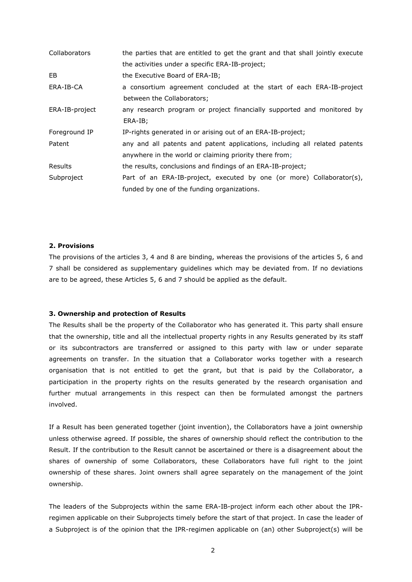| <b>Collaborators</b> | the parties that are entitled to get the grant and that shall jointly execute |
|----------------------|-------------------------------------------------------------------------------|
|                      | the activities under a specific ERA-IB-project;                               |
| EB                   | the Executive Board of ERA-IB;                                                |
| ERA-IB-CA            | a consortium agreement concluded at the start of each ERA-IB-project          |
|                      | between the Collaborators;                                                    |
| ERA-IB-project       | any research program or project financially supported and monitored by        |
|                      | ERA-IB;                                                                       |
| Foreground IP        | IP-rights generated in or arising out of an ERA-IB-project;                   |
| Patent               | any and all patents and patent applications, including all related patents    |
|                      | anywhere in the world or claiming priority there from;                        |
| <b>Results</b>       | the results, conclusions and findings of an ERA-IB-project;                   |
| Subproject           | Part of an ERA-IB-project, executed by one (or more) Collaborator(s),         |
|                      | funded by one of the funding organizations.                                   |

### **2. Provisions**

The provisions of the articles 3, 4 and 8 are binding, whereas the provisions of the articles 5, 6 and 7 shall be considered as supplementary guidelines which may be deviated from. If no deviations are to be agreed, these Articles 5, 6 and 7 should be applied as the default.

#### **3. Ownership and protection of Results**

The Results shall be the property of the Collaborator who has generated it. This party shall ensure that the ownership, title and all the intellectual property rights in any Results generated by its staff or its subcontractors are transferred or assigned to this party with law or under separate agreements on transfer. In the situation that a Collaborator works together with a research organisation that is not entitled to get the grant, but that is paid by the Collaborator, a participation in the property rights on the results generated by the research organisation and further mutual arrangements in this respect can then be formulated amongst the partners involved.

If a Result has been generated together (joint invention), the Collaborators have a joint ownership unless otherwise agreed. If possible, the shares of ownership should reflect the contribution to the Result. If the contribution to the Result cannot be ascertained or there is a disagreement about the shares of ownership of some Collaborators, these Collaborators have full right to the joint ownership of these shares. Joint owners shall agree separately on the management of the joint ownership.

The leaders of the Subprojects within the same ERA-IB-project inform each other about the IPRregimen applicable on their Subprojects timely before the start of that project. In case the leader of a Subproject is of the opinion that the IPR-regimen applicable on (an) other Subproject(s) will be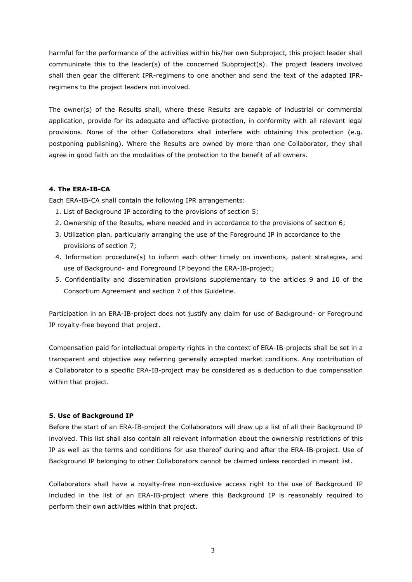harmful for the performance of the activities within his/her own Subproject, this project leader shall communicate this to the leader(s) of the concerned Subproject(s). The project leaders involved shall then gear the different IPR-regimens to one another and send the text of the adapted IPRregimens to the project leaders not involved.

The owner(s) of the Results shall, where these Results are capable of industrial or commercial application, provide for its adequate and effective protection, in conformity with all relevant legal provisions. None of the other Collaborators shall interfere with obtaining this protection (e.g. postponing publishing). Where the Results are owned by more than one Collaborator, they shall agree in good faith on the modalities of the protection to the benefit of all owners.

## **4. The ERA-IB-CA**

Each ERA-IB-CA shall contain the following IPR arrangements:

- 1. List of Background IP according to the provisions of section 5;
- 2. Ownership of the Results, where needed and in accordance to the provisions of section 6;
- 3. Utilization plan, particularly arranging the use of the Foreground IP in accordance to the provisions of section 7;
- 4. Information procedure(s) to inform each other timely on inventions, patent strategies, and use of Background- and Foreground IP beyond the ERA-IB-project;
- 5. Confidentiality and dissemination provisions supplementary to the articles 9 and 10 of the Consortium Agreement and section 7 of this Guideline.

Participation in an ERA-IB-project does not justify any claim for use of Background- or Foreground IP royalty-free beyond that project.

Compensation paid for intellectual property rights in the context of ERA-IB-projects shall be set in a transparent and objective way referring generally accepted market conditions. Any contribution of a Collaborator to a specific ERA-IB-project may be considered as a deduction to due compensation within that project.

# **5. Use of Background IP**

Before the start of an ERA-IB-project the Collaborators will draw up a list of all their Background IP involved. This list shall also contain all relevant information about the ownership restrictions of this IP as well as the terms and conditions for use thereof during and after the ERA-IB-project. Use of Background IP belonging to other Collaborators cannot be claimed unless recorded in meant list.

Collaborators shall have a royalty-free non-exclusive access right to the use of Background IP included in the list of an ERA-IB-project where this Background IP is reasonably required to perform their own activities within that project.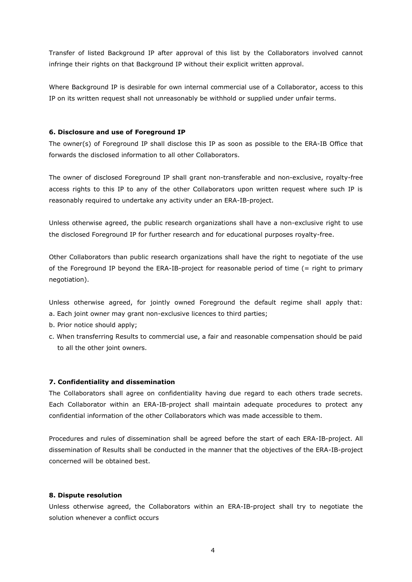Transfer of listed Background IP after approval of this list by the Collaborators involved cannot infringe their rights on that Background IP without their explicit written approval.

Where Background IP is desirable for own internal commercial use of a Collaborator, access to this IP on its written request shall not unreasonably be withhold or supplied under unfair terms.

## **6. Disclosure and use of Foreground IP**

The owner(s) of Foreground IP shall disclose this IP as soon as possible to the ERA-IB Office that forwards the disclosed information to all other Collaborators.

The owner of disclosed Foreground IP shall grant non-transferable and non-exclusive, royalty-free access rights to this IP to any of the other Collaborators upon written request where such IP is reasonably required to undertake any activity under an ERA-IB-project.

Unless otherwise agreed, the public research organizations shall have a non-exclusive right to use the disclosed Foreground IP for further research and for educational purposes royalty-free.

Other Collaborators than public research organizations shall have the right to negotiate of the use of the Foreground IP beyond the ERA-IB-project for reasonable period of time (= right to primary negotiation).

Unless otherwise agreed, for jointly owned Foreground the default regime shall apply that: a. Each joint owner may grant non-exclusive licences to third parties;

b. Prior notice should apply;

c. When transferring Results to commercial use, a fair and reasonable compensation should be paid to all the other joint owners.

# **7. Confidentiality and dissemination**

The Collaborators shall agree on confidentiality having due regard to each others trade secrets. Each Collaborator within an ERA-IB-project shall maintain adequate procedures to protect any confidential information of the other Collaborators which was made accessible to them.

Procedures and rules of dissemination shall be agreed before the start of each ERA-IB-project. All dissemination of Results shall be conducted in the manner that the objectives of the ERA-IB-project concerned will be obtained best.

# **8. Dispute resolution**

Unless otherwise agreed, the Collaborators within an ERA-IB-project shall try to negotiate the solution whenever a conflict occurs